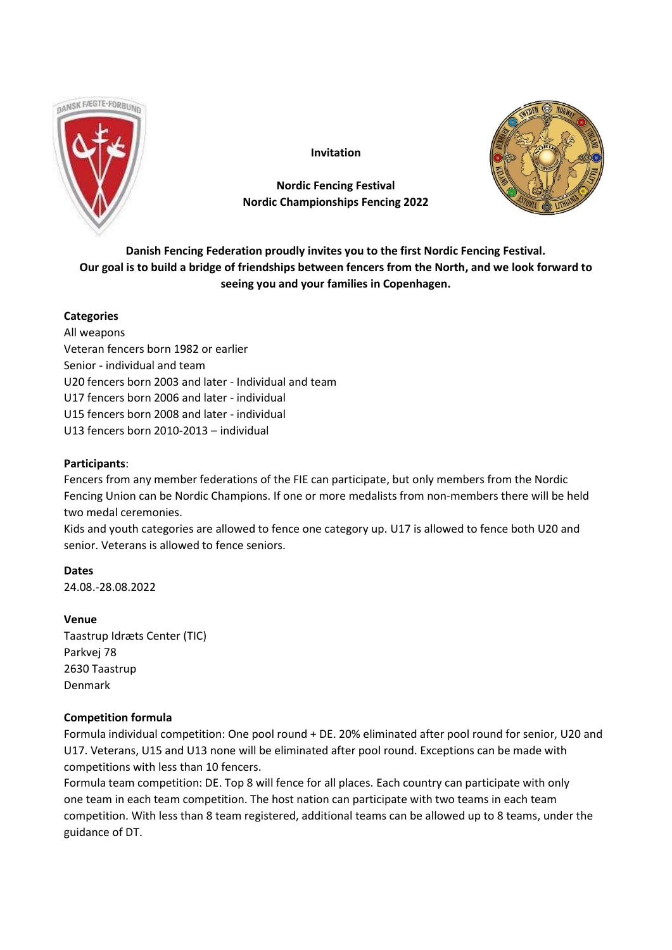

**Invitation**

# **Nordic Fencing Festival Nordic Championships Fencing 2022**



**Danish Fencing Federation proudly invites you to the first Nordic Fencing Festival. Our goal is to build a bridge of friendships between fencers from the North, and we look forward to seeing you and your families in Copenhagen.**

# **Categories**

All weapons Veteran fencers born 1982 or earlier Senior - individual and team U20 fencers born 2003 and later - Individual and team U17 fencers born 2006 and later - individual U15 fencers born 2008 and later - individual U13 fencers born 2010-2013 – individual

# **Participants**:

Fencers from any member federations of the FIE can participate, but only members from the Nordic Fencing Union can be Nordic Champions. If one or more medalists from non-members there will be held two medal ceremonies.

Kids and youth categories are allowed to fence one category up. U17 is allowed to fence both U20 and senior. Veterans is allowed to fence seniors.

**Dates** 24.08.-28.08.2022

# **Venue**

Taastrup Idræts Center (TIC) Parkvej 78 2630 Taastrup Denmark

# **Competition formula**

Formula individual competition: One pool round + DE. 20% eliminated after pool round for senior, U20 and U17. Veterans, U15 and U13 none will be eliminated after pool round. Exceptions can be made with competitions with less than 10 fencers.

Formula team competition: DE. Top 8 will fence for all places. Each country can participate with only one team in each team competition. The host nation can participate with two teams in each team competition. With less than 8 team registered, additional teams can be allowed up to 8 teams, under the guidance of DT.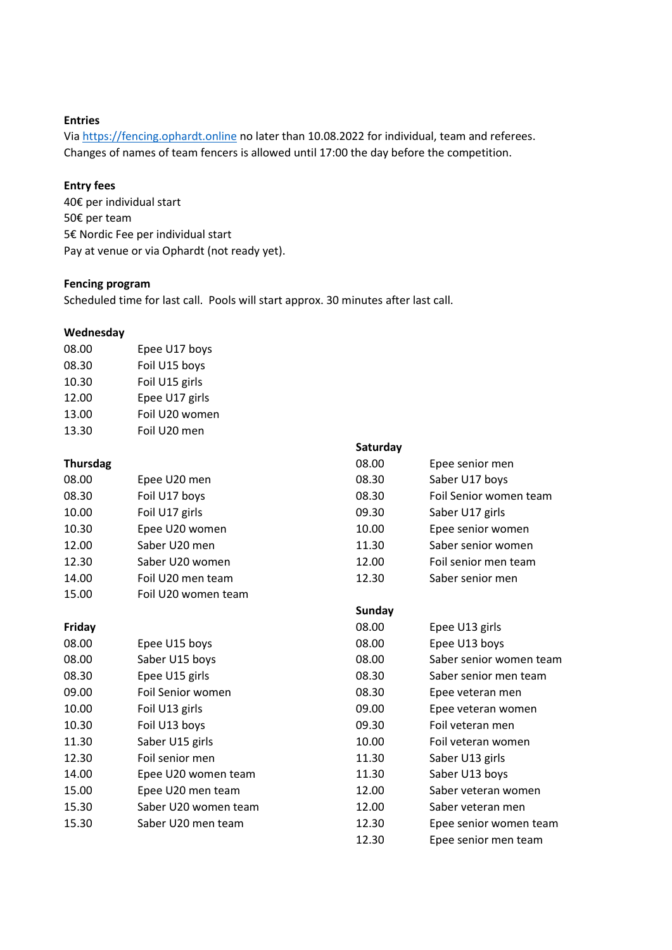## **Entries**

Via [https://fencing.ophardt.online](https://fencing.ophardt.online/) no later than 10.08.2022 for individual, team and referees. Changes of names of team fencers is allowed until 17:00 the day before the competition.

## **Entry fees**

40€ per individual start 50€ per team 5€ Nordic Fee per individual start Pay at venue or via Ophardt (not ready yet).

# **Fencing program**

Scheduled time for last call. Pools will start approx. 30 minutes after last call.

## **Wednesday**

| 08.00 | Epee U17 boys  |
|-------|----------------|
| 08.30 | Foil U15 boys  |
| 10.30 | Foil U15 girls |
| 12.00 | Epee U17 girls |
| 13.00 | Foil U20 women |
| 13.30 | Foil U20 men   |

|                 |                      | Saturday      |                         |
|-----------------|----------------------|---------------|-------------------------|
| <b>Thursdag</b> |                      | 08.00         | Epee senior men         |
| 08.00           | Epee U20 men         | 08.30         | Saber U17 boys          |
| 08.30           | Foil U17 boys        | 08.30         | Foil Senior women team  |
| 10.00           | Foil U17 girls       | 09.30         | Saber U17 girls         |
| 10.30           | Epee U20 women       | 10.00         | Epee senior women       |
| 12.00           | Saber U20 men        | 11.30         | Saber senior women      |
| 12.30           | Saber U20 women      | 12.00         | Foil senior men team    |
| 14.00           | Foil U20 men team    | 12.30         | Saber senior men        |
| 15.00           | Foil U20 women team  |               |                         |
|                 |                      | <b>Sunday</b> |                         |
| Friday          |                      | 08.00         | Epee U13 girls          |
| 08.00           | Epee U15 boys        | 08.00         | Epee U13 boys           |
| 08.00           | Saber U15 boys       | 08.00         | Saber senior women team |
| 08.30           | Epee U15 girls       | 08.30         | Saber senior men team   |
| 09.00           | Foil Senior women    | 08.30         | Epee veteran men        |
| 10.00           | Foil U13 girls       | 09.00         | Epee veteran women      |
| 10.30           | Foil U13 boys        | 09.30         | Foil veteran men        |
| 11.30           | Saber U15 girls      | 10.00         | Foil veteran women      |
| 12.30           | Foil senior men      | 11.30         | Saber U13 girls         |
| 14.00           | Epee U20 women team  | 11.30         | Saber U13 boys          |
| 15.00           | Epee U20 men team    | 12.00         | Saber veteran women     |
| 15.30           | Saber U20 women team | 12.00         | Saber veteran men       |
| 15.30           | Saber U20 men team   | 12.30         | Epee senior women team  |
|                 |                      |               |                         |

12.30 Epee senior men team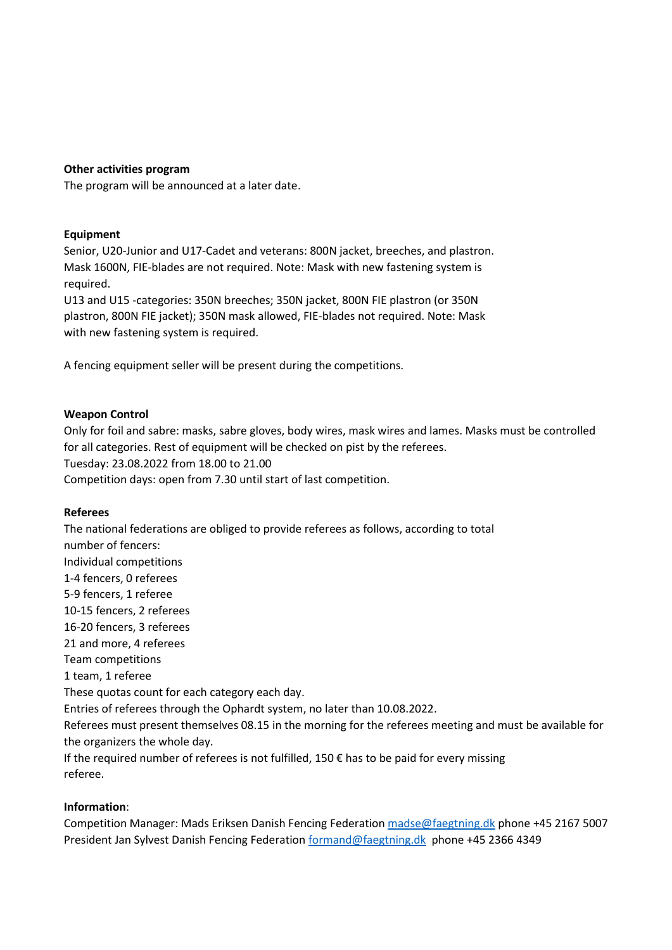## **Other activities program**

The program will be announced at a later date.

## **Equipment**

Senior, U20-Junior and U17-Cadet and veterans: 800N jacket, breeches, and plastron. Mask 1600N, FIE-blades are not required. Note: Mask with new fastening system is required.

U13 and U15 -categories: 350N breeches; 350N jacket, 800N FIE plastron (or 350N plastron, 800N FIE jacket); 350N mask allowed, FIE-blades not required. Note: Mask with new fastening system is required.

A fencing equipment seller will be present during the competitions.

#### **Weapon Control**

Only for foil and sabre: masks, sabre gloves, body wires, mask wires and lames. Masks must be controlled for all categories. Rest of equipment will be checked on pist by the referees. Tuesday: 23.08.2022 from 18.00 to 21.00 Competition days: open from 7.30 until start of last competition.

#### **Referees**

The national federations are obliged to provide referees as follows, according to total number of fencers: Individual competitions 1-4 fencers, 0 referees 5-9 fencers, 1 referee 10-15 fencers, 2 referees 16-20 fencers, 3 referees 21 and more, 4 referees Team competitions 1 team, 1 referee These quotas count for each category each day. Entries of referees through the Ophardt system, no later than 10.08.2022. Referees must present themselves 08.15 in the morning for the referees meeting and must be available for the organizers the whole day. If the required number of referees is not fulfilled, 150  $\epsilon$  has to be paid for every missing referee.

#### **Information**:

Competition Manager: Mads Eriksen Danish Fencing Federatio[n madse@faegtning.dk](mailto:madse@faegtning.dk) phone +45 2167 5007 President Jan Sylvest Danish Fencing Federation [formand@faegtning.dk](mailto:formand@faegtning.dk) phone +45 2366 4349